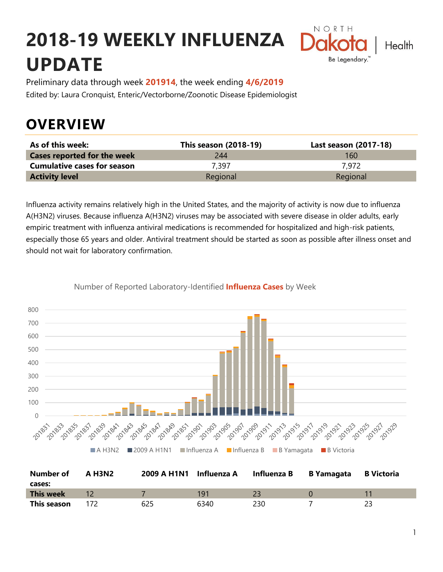# **2018-19 WEEKLY INFLUENZA UPDATE**



Preliminary data through week **201914**, the week ending **4/6/2019** Edited by: Laura Cronquist, Enteric/Vectorborne/Zoonotic Disease Epidemiologist

### **OVERVIEW**

| As of this week:                   | <b>This season (2018-19)</b> | Last season (2017-18) |
|------------------------------------|------------------------------|-----------------------|
| <b>Cases reported for the week</b> | 244                          | 160                   |
| <b>Cumulative cases for season</b> | 7.397                        | 7.972                 |
| <b>Activity level</b>              | Regional                     | Regional              |

Influenza activity remains relatively high in the United States, and the majority of activity is now due to influenza A(H3N2) viruses. Because influenza A(H3N2) viruses may be associated with severe disease in older adults, early empiric treatment with influenza antiviral medications is recommended for hospitalized and high-risk patients, especially those 65 years and older. Antiviral treatment should be started as soon as possible after illness onset and should not wait for laboratory confirmation.



Number of Reported Laboratory-Identified **Influenza Cases** by Week

| Number of        | A H3N2 | 2009 A H1N1 Influenza A |      | Influenza B | B Yamagata | <b>B</b> Victoria |
|------------------|--------|-------------------------|------|-------------|------------|-------------------|
| cases:           |        |                         |      |             |            |                   |
| <b>This week</b> |        |                         | 191  |             |            |                   |
| This season      |        | 625                     | 6340 | 230         |            |                   |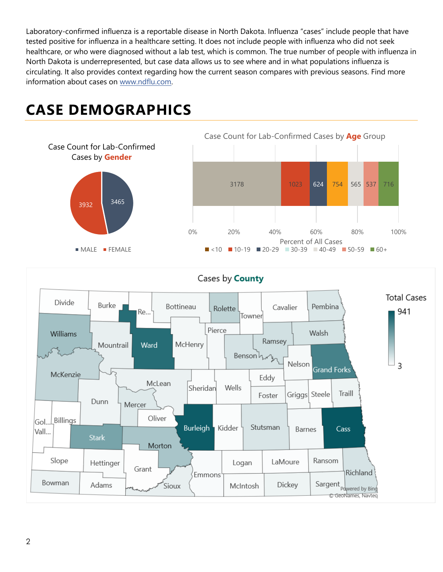Laboratory-confirmed influenza is a reportable disease in North Dakota. Influenza "cases" include people that have tested positive for influenza in a healthcare setting. It does not include people with influenza who did not seek healthcare, or who were diagnosed without a lab test, which is common. The true number of people with influenza in North Dakota is underrepresented, but case data allows us to see where and in what populations influenza is circulating. It also provides context regarding how the current season compares with previous seasons. Find more information about cases on [www.ndflu.com.](file://///nd.gov/doh/DOH-DATA/MSS/DC/PROGRAM/IMMUNE/Immunize/Influenza/Inf18-19/Surveillance/Weekly%20Summaries/www.ndflu.com)

## **CASE DEMOGRAPHICS**





#### Cases by **County**

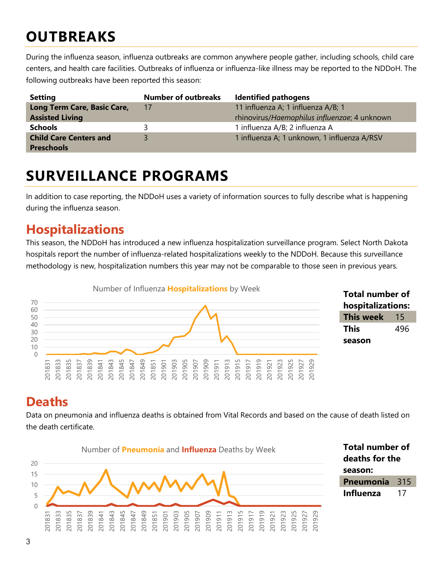### **OUTBREAKS**

During the influenza season, influenza outbreaks are common anywhere people gather, including schools, child care centers, and health care facilities. Outbreaks of influenza or influenza-like illness may be reported to the NDDoH. The following outbreaks have been reported this season:

| <b>Setting</b>                | <b>Number of outbreaks</b> | <b>Identified pathogens</b>                  |
|-------------------------------|----------------------------|----------------------------------------------|
| Long Term Care, Basic Care,   | 17                         | 11 influenza A; 1 influenza A/B; 1           |
| <b>Assisted Living</b>        |                            | rhinovirus/Haemophilus influenzae; 4 unknown |
| <b>Schools</b>                |                            | 1 influenza A/B; 2 influenza A               |
| <b>Child Care Centers and</b> |                            | 1 influenza A; 1 unknown, 1 influenza A/RSV  |
| <b>Preschools</b>             |                            |                                              |

### **SURVEILLANCE PROGRAMS**

In addition to case reporting, the NDDoH uses a variety of information sources to fully describe what is happening during the influenza season.

#### **Hospitalizations**

This season, the NDDoH has introduced a new influenza hospitalization surveillance program. Select North Dakota hospitals report the number of influenza-related hospitalizations weekly to the NDDoH. Because this surveillance methodology is new, hospitalization numbers this year may not be comparable to those seen in previous years.





#### **Deaths**

Data on pneumonia and influenza deaths is obtained from Vital Records and based on the cause of death listed on the death certificate.



**Total number of deaths for the season: Pneumonia** 315 **Influenza** 17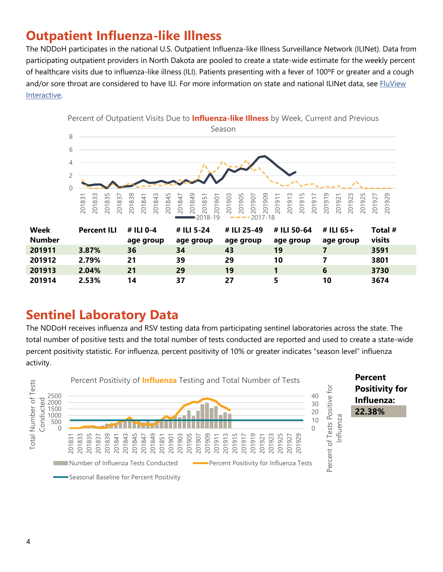#### **Outpatient Influenza-like Illness**

The NDDoH participates in the national U.S. Outpatient Influenza-like Illness Surveillance Network (ILINet). Data from participating outpatient providers in North Dakota are pooled to create a state-wide estimate for the weekly percent of healthcare visits due to influenza-like illness (ILI). Patients presenting with a fever of 100ºF or greater and a cough and/or sore throat are considered to have ILI. For more information on state and national ILINet data, see FluView [Interactive.](https://gis.cdc.gov/grasp/fluview/fluportaldashboard.html)



#### **Sentinel Laboratory Data**

The NDDoH receives influenza and RSV testing data from participating sentinel laboratories across the state. The total number of positive tests and the total number of tests conducted are reported and used to create a state-wide percent positivity statistic. For influenza, percent positivity of 10% or greater indicates "season level" influenza activity.

**2.53% 14 37 27 5 10 3674**

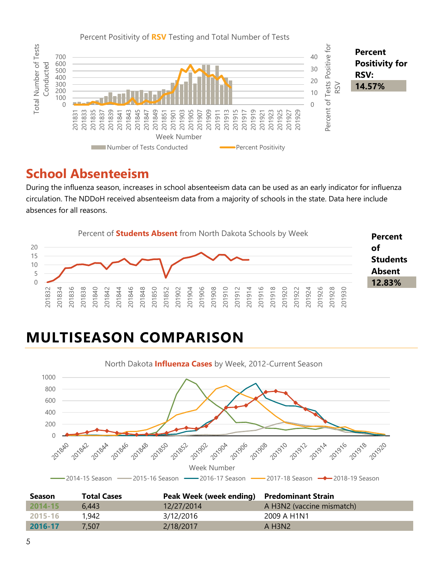

#### **School Absenteeism**

During the influenza season, increases in school absenteeism data can be used as an early indicator for influenza circulation. The NDDoH received absenteeism data from a majority of schools in the state. Data here include absences for all reasons.



### **MULTISEASON COMPARISON**



| <b>Season</b> | <b>Total Cases</b> | Peak Week (week ending) Predominant Strain |                           |
|---------------|--------------------|--------------------------------------------|---------------------------|
| $2014 - 15$   | 6.443              | 12/27/2014                                 | A H3N2 (vaccine mismatch) |
| 2015-16       | 1,942              | 3/12/2016                                  | 2009 A H1N1               |
| 2016-17       | 7.507              | 2/18/2017                                  | A H3N2                    |